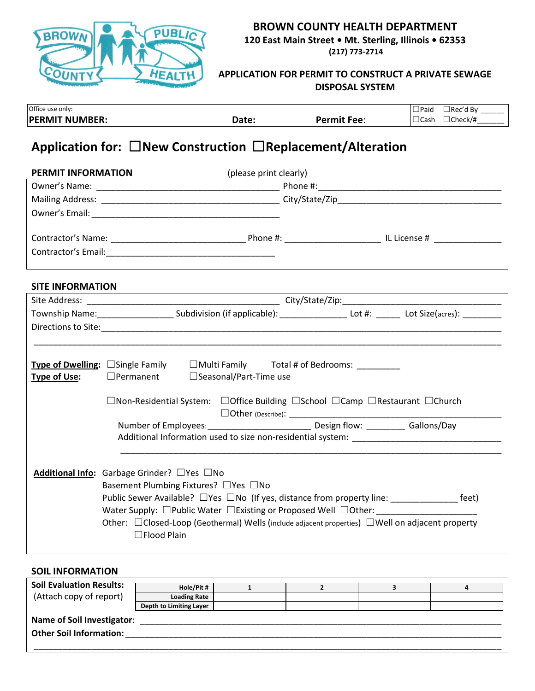

## **BROWN COUNTY HEALTH DEPARTMENT 120 East Main Street • Mt. Sterling, Illinois • 62353**

**(217) 773-2714**

### **APPLICATION FOR PERMIT TO CONSTRUCT A PRIVATE SEWAGE DISPOSAL SYSTEM**

| Office use only:           |               |             | 'Paic<br>ı Bv<br>lRec' |
|----------------------------|---------------|-------------|------------------------|
| <b>PFRMIT</b><br>T NUMBER: | ∍hc∩<br>uale. | Permit Fee: | Check/#<br>⊥Cash       |
|                            |               |             |                        |

# **Application for:** ☐**New Construction** ☐**Replacement/Alteration**

| PERMIT INFORMATION      |                                                                                                                                                                                                                 | (please print clearly) and the contract of the contract of the contract of the contract of the contract of the contract of the contract of the contract of the contract of the contract of the contract of the contract of the |  |
|-------------------------|-----------------------------------------------------------------------------------------------------------------------------------------------------------------------------------------------------------------|--------------------------------------------------------------------------------------------------------------------------------------------------------------------------------------------------------------------------------|--|
|                         |                                                                                                                                                                                                                 |                                                                                                                                                                                                                                |  |
|                         |                                                                                                                                                                                                                 |                                                                                                                                                                                                                                |  |
|                         |                                                                                                                                                                                                                 |                                                                                                                                                                                                                                |  |
|                         |                                                                                                                                                                                                                 |                                                                                                                                                                                                                                |  |
|                         |                                                                                                                                                                                                                 |                                                                                                                                                                                                                                |  |
|                         |                                                                                                                                                                                                                 |                                                                                                                                                                                                                                |  |
|                         |                                                                                                                                                                                                                 |                                                                                                                                                                                                                                |  |
| <b>SITE INFORMATION</b> |                                                                                                                                                                                                                 |                                                                                                                                                                                                                                |  |
|                         |                                                                                                                                                                                                                 |                                                                                                                                                                                                                                |  |
|                         |                                                                                                                                                                                                                 | Township Name:__________________________Subdivision (if applicable): _________________________Lot \$ize(acres): _____________                                                                                                  |  |
|                         |                                                                                                                                                                                                                 |                                                                                                                                                                                                                                |  |
|                         |                                                                                                                                                                                                                 |                                                                                                                                                                                                                                |  |
| <b>Type of Use:</b>     | Type of Dwelling: □Single Family □ Multi Family Total # of Bedrooms: _________<br>$\Box$ Permanent $\Box$ Seasonal/Part-Time use                                                                                | $\Box$ Non-Residential System: $\Box$ Office Building $\Box$ School $\Box$ Camp $\Box$ Restaurant $\Box$ Church<br>Number of Employees: _______________________________ Design flow: __________ Gallons/Day                    |  |
|                         |                                                                                                                                                                                                                 |                                                                                                                                                                                                                                |  |
|                         | <b>Additional Info:</b> Garbage Grinder? $\Box$ Yes $\Box$ No<br>Basement Plumbing Fixtures? □Yes □No<br>Water Supply: $\Box$ Public Water $\Box$ Existing or Proposed Well $\Box$ Other:<br>$\Box$ Flood Plain | Public Sewer Available? □ Yes □ No (If yes, distance from property line: _______________ feet)<br>Other: $\Box$ Closed-Loop (Geothermal) Wells (include adjacent properties) $\Box$ Well on adjacent property                  |  |

#### **SOIL INFORMATION**

| <b>Soil Evaluation Results:</b>   | Hole/Pit #              |  |  |
|-----------------------------------|-------------------------|--|--|
| (Attach copy of report)           | <b>Loading Rate</b>     |  |  |
|                                   | Depth to Limiting Layer |  |  |
| <b>Name of Soil Investigator:</b> |                         |  |  |
| <b>Other Soil Information:</b>    |                         |  |  |
|                                   |                         |  |  |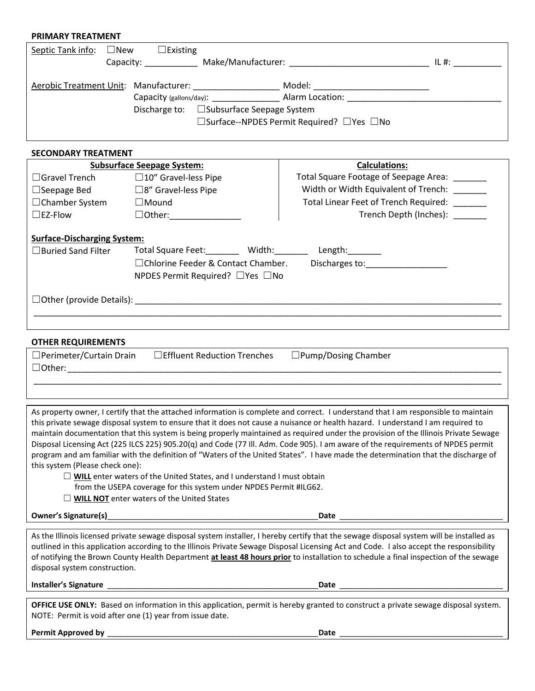## **PRIMARY TREATMENT** Septic Tank info: □New □Existing Capacity: \_\_\_\_\_\_\_\_\_\_\_ Make/Manufacturer: \_\_\_\_\_\_\_\_\_\_\_\_\_\_\_\_\_\_\_\_\_\_\_\_\_\_\_\_\_ IL #: \_\_\_\_\_\_\_\_\_\_ Aerobic Treatment Unit: Manufacturer: \_\_\_\_\_\_\_\_\_\_\_\_\_\_\_\_\_\_\_\_\_\_ Model: \_\_\_\_\_\_\_\_\_\_\_\_\_\_\_\_\_\_\_\_\_\_\_\_\_\_\_\_\_\_\_ Capacity (gallons/day): \_\_\_\_\_\_\_\_\_\_\_\_\_\_ Alarm Location: \_\_\_\_\_\_\_\_\_\_\_\_\_\_\_\_\_\_\_\_\_\_\_\_\_\_\_\_\_\_\_\_ Discharge to: □Subsurface Seepage System ☐Surface--NPDES Permit Required? ☐Yes ☐No **SECONDARY TREATMENT**

|                                    | <b>Subsurface Seepage System:</b>           | <b>Calculations:</b>                         |
|------------------------------------|---------------------------------------------|----------------------------------------------|
| $\Box$ Gravel Trench               | $\square$ 10" Gravel-less Pipe              | Total Square Footage of Seepage Area:        |
| $\Box$ Seepage Bed                 | $\square$ 8" Gravel-less Pipe               | Width or Width Equivalent of Trench:         |
| $\Box$ Chamber System              | $\Box$ Mound                                | Total Linear Feet of Trench Required: ______ |
| $\square$ EZ-Flow                  | $\Box$ Other:                               | Trench Depth (Inches): ______                |
| <b>Surface-Discharging System:</b> |                                             |                                              |
| $\Box$ Buried Sand Filter          | Total Square Feet: Width:                   | Length:                                      |
|                                    | $\Box$ Chlorine Feeder & Contact Chamber.   | Discharges to: __________________            |
|                                    | NPDES Permit Required? $\Box$ Yes $\Box$ No |                                              |
|                                    | $\Box$ Other (provide Details):             |                                              |
|                                    |                                             |                                              |

#### **OTHER REQUIREMENTS**

| $\Box$ Perimeter/Curtain Drain | $\Box$ Effluent Reduction Trenches | $\square$ Pump/Dosing Chamber |
|--------------------------------|------------------------------------|-------------------------------|
| □Other:                        |                                    |                               |
|                                |                                    |                               |

As property owner, I certify that the attached information is complete and correct. I understand that I am responsible to maintain this private sewage disposal system to ensure that it does not cause a nuisance or health hazard. I understand I am required to maintain documentation that this system is being properly maintained as required under the provision of the Illinois Private Sewage Disposal Licensing Act (225 ILCS 225) 905.20(q) and Code (77 Ill. Adm. Code 905). I am aware of the requirements of NPDES permit program and am familiar with the definition of "Waters of the United States". I have made the determination that the discharge of this system (Please check one):

☐ **WILL** enter waters of the United States, and I understand I must obtain

- from the USEPA coverage for this system under NPDES Permit #ILG62.
- □ **WILL NOT** enter waters of the United States

**Owner's Signature(s)**\_\_\_\_\_\_\_\_\_\_\_\_\_\_\_\_\_\_\_\_\_\_\_\_\_\_\_\_\_\_\_\_\_\_\_\_\_\_\_\_\_\_\_\_\_\_\_\_\_**Date** \_\_\_\_\_\_\_\_\_\_\_\_\_\_\_\_\_\_\_\_\_\_\_\_\_\_\_\_\_\_\_\_\_\_\_\_\_\_

As the Illinois licensed private sewage disposal system installer, I hereby certify that the sewage disposal system will be installed as outlined in this application according to the Illinois Private Sewage Disposal Licensing Act and Code. I also accept the responsibility of notifying the Brown County Health Department **at least 48 hours prior** to installation to schedule a final inspection of the sewage disposal system construction.

**Installer's Signature** \_\_\_\_\_\_\_\_\_\_\_\_\_\_\_\_\_\_\_\_\_\_\_\_\_\_\_\_\_\_\_\_\_\_\_\_\_\_\_\_\_\_\_\_\_\_\_\_\_**Date** \_\_\_\_\_\_\_\_\_\_\_\_\_\_\_\_\_\_\_\_\_\_\_\_\_\_\_\_\_\_\_\_\_\_\_\_\_\_

**OFFICE USE ONLY:** Based on information in this application, permit is hereby granted to construct a private sewage disposal system. NOTE: Permit is void after one (1) year from issue date.

| <b>Permit Approved by</b><br>Datı |
|-----------------------------------|
|-----------------------------------|